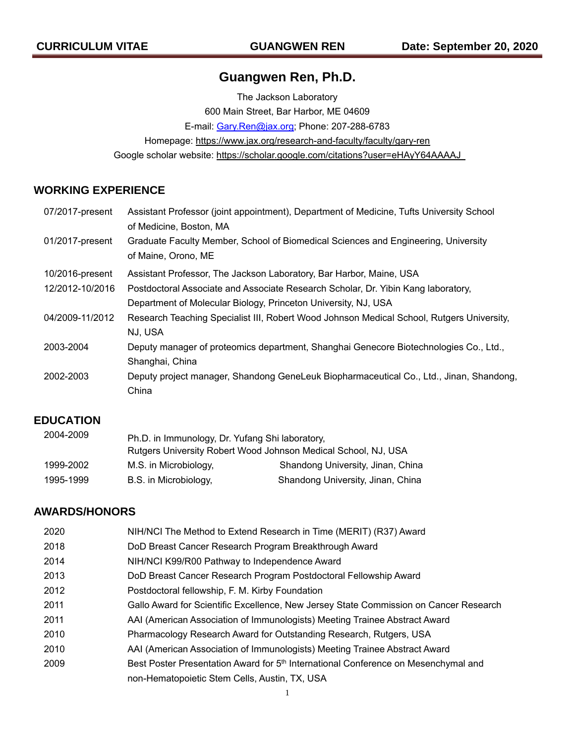# **Guangwen Ren, Ph.D.**

The Jackson Laboratory 600 Main Street, Bar Harbor, ME 04609 E-mail: Gary.Ren@jax.org; Phone: 207-288-6783 Homepage: https://www.jax.org/research-and-faculty/faculty/gary-ren Google scholar website: https://scholar.google.com/citations?user=eHAyY64AAAAJ

# **WORKING EXPERIENCE**

| 07/2017-present | Assistant Professor (joint appointment), Department of Medicine, Tufts University School  |
|-----------------|-------------------------------------------------------------------------------------------|
|                 | of Medicine, Boston, MA                                                                   |
| 01/2017-present | Graduate Faculty Member, School of Biomedical Sciences and Engineering, University        |
|                 | of Maine, Orono, ME                                                                       |
| 10/2016-present | Assistant Professor, The Jackson Laboratory, Bar Harbor, Maine, USA                       |
| 12/2012-10/2016 | Postdoctoral Associate and Associate Research Scholar, Dr. Yibin Kang laboratory,         |
|                 | Department of Molecular Biology, Princeton University, NJ, USA                            |
| 04/2009-11/2012 | Research Teaching Specialist III, Robert Wood Johnson Medical School, Rutgers University, |
|                 | NJ, USA                                                                                   |
| 2003-2004       | Deputy manager of proteomics department, Shanghai Genecore Biotechnologies Co., Ltd.,     |
|                 | Shanghai, China                                                                           |
| 2002-2003       | Deputy project manager, Shandong GeneLeuk Biopharmaceutical Co., Ltd., Jinan, Shandong,   |
|                 | China                                                                                     |

### **EDUCATION**

| 2004-2009 | Ph.D. in Immunology, Dr. Yufang Shi laboratory,<br>Rutgers University Robert Wood Johnson Medical School, NJ, USA |                                   |
|-----------|-------------------------------------------------------------------------------------------------------------------|-----------------------------------|
| 1999-2002 | M.S. in Microbiology,                                                                                             | Shandong University, Jinan, China |
| 1995-1999 | B.S. in Microbiology,                                                                                             | Shandong University, Jinan, China |

# **AWARDS/HONORS**

| 2020 | NIH/NCI The Method to Extend Research in Time (MERIT) (R37) Award                              |
|------|------------------------------------------------------------------------------------------------|
| 2018 | DoD Breast Cancer Research Program Breakthrough Award                                          |
| 2014 | NIH/NCI K99/R00 Pathway to Independence Award                                                  |
| 2013 | DoD Breast Cancer Research Program Postdoctoral Fellowship Award                               |
| 2012 | Postdoctoral fellowship, F. M. Kirby Foundation                                                |
| 2011 | Gallo Award for Scientific Excellence, New Jersey State Commission on Cancer Research          |
| 2011 | AAI (American Association of Immunologists) Meeting Trainee Abstract Award                     |
| 2010 | Pharmacology Research Award for Outstanding Research, Rutgers, USA                             |
| 2010 | AAI (American Association of Immunologists) Meeting Trainee Abstract Award                     |
| 2009 | Best Poster Presentation Award for 5 <sup>th</sup> International Conference on Mesenchymal and |
|      | non-Hematopoietic Stem Cells, Austin, TX, USA                                                  |
|      |                                                                                                |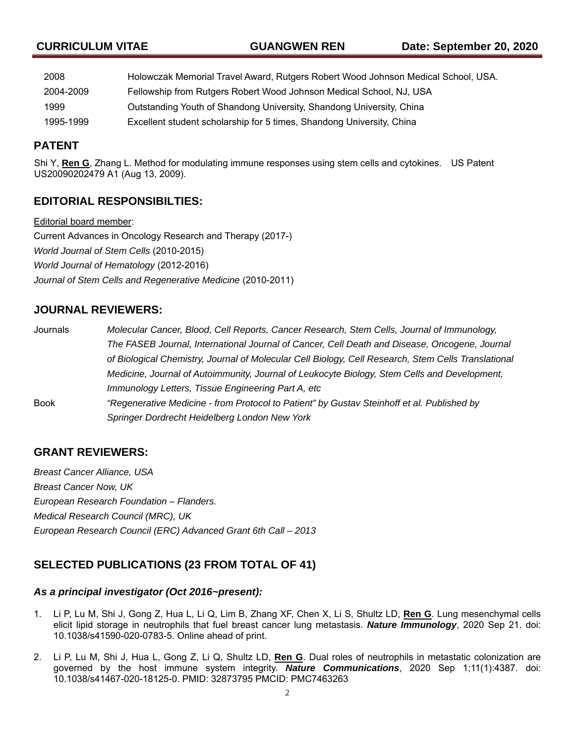| 2008      | Holowczak Memorial Travel Award, Rutgers Robert Wood Johnson Medical School, USA. |
|-----------|-----------------------------------------------------------------------------------|
| 2004-2009 | Fellowship from Rutgers Robert Wood Johnson Medical School, NJ, USA               |
| 1999      | Outstanding Youth of Shandong University, Shandong University, China              |
| 1995-1999 | Excellent student scholarship for 5 times, Shandong University, China             |

## **PATENT**

Shi Y, **Ren G**, Zhang L. Method for modulating immune responses using stem cells and cytokines. US Patent US20090202479 A1 (Aug 13, 2009).

## **EDITORIAL RESPONSIBILTIES:**

Editorial board member: Current Advances in Oncology Research and Therapy (2017-) *World Journal of Stem Cells* (2010-2015) *World Journal of Hematology* (2012-2016) *Journal of Stem Cells and Regenerative Medicine* (2010-2011)

# **JOURNAL REVIEWERS:**

| Journals    | Molecular Cancer, Blood, Cell Reports, Cancer Research, Stem Cells, Journal of Immunology,          |
|-------------|-----------------------------------------------------------------------------------------------------|
|             | The FASEB Journal, International Journal of Cancer, Cell Death and Disease, Oncogene, Journal       |
|             | of Biological Chemistry, Journal of Molecular Cell Biology, Cell Research, Stem Cells Translational |
|             | Medicine, Journal of Autoimmunity, Journal of Leukocyte Biology, Stem Cells and Development,        |
|             | Immunology Letters, Tissue Engineering Part A, etc                                                  |
| <b>Book</b> | "Regenerative Medicine - from Protocol to Patient" by Gustav Steinhoff et al. Published by          |
|             | Springer Dordrecht Heidelberg London New York                                                       |

# **GRANT REVIEWERS:**

*Breast Cancer Alliance, USA Breast Cancer Now, UK European Research Foundation – Flanders. Medical Research Council (MRC), UK European Research Council (ERC) Advanced Grant 6th Call – 2013*

# **SELECTED PUBLICATIONS (23 FROM TOTAL OF 41)**

### *As a principal investigator (Oct 2016~present):*

- 1. Li P, Lu M, Shi J, Gong Z, Hua L, Li Q, Lim B, Zhang XF, Chen X, Li S, Shultz LD, **Ren G**. Lung mesenchymal cells elicit lipid storage in neutrophils that fuel breast cancer lung metastasis. *Nature Immunology*, 2020 Sep 21. doi: 10.1038/s41590-020-0783-5. Online ahead of print.
- 2. Li P, Lu M, Shi J, Hua L, Gong Z, Li Q, Shultz LD, **Ren G**. Dual roles of neutrophils in metastatic colonization are governed by the host immune system integrity. *Nature Communications*, 2020 Sep 1;11(1):4387. doi: 10.1038/s41467-020-18125-0. PMID: 32873795 PMCID: PMC7463263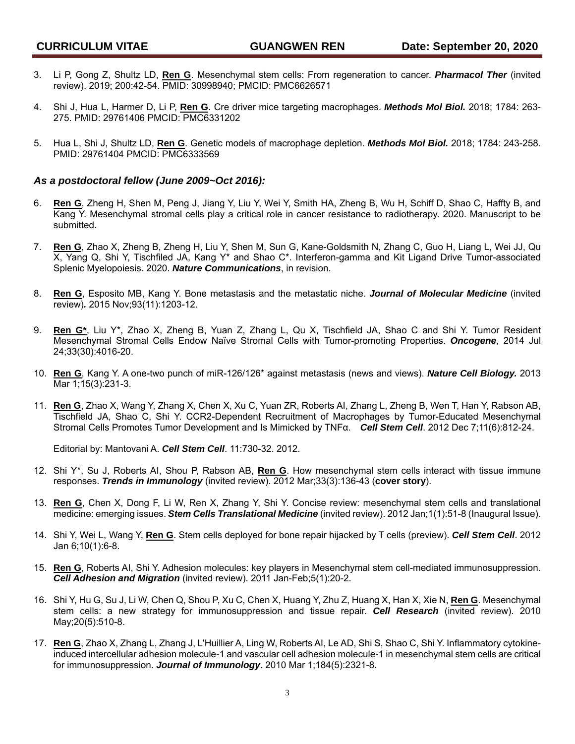- 3. Li P, Gong Z, Shultz LD, **Ren G**. Mesenchymal stem cells: From regeneration to cancer. *Pharmacol Ther* (invited review). 2019; 200:42-54. PMID: 30998940; PMCID: PMC6626571
- 4. Shi J, Hua L, Harmer D, Li P, **Ren G**. Cre driver mice targeting macrophages. *Methods Mol Biol.* 2018; 1784: 263- 275. PMID: 29761406 PMCID: PMC6331202
- 5. Hua L, Shi J, Shultz LD, **Ren G**. Genetic models of macrophage depletion. *Methods Mol Biol.* 2018; 1784: 243-258. PMID: 29761404 PMCID: PMC6333569

#### *As a postdoctoral fellow (June 2009~Oct 2016):*

- 6. **Ren G**, Zheng H, Shen M, Peng J, Jiang Y, Liu Y, Wei Y, Smith HA, Zheng B, Wu H, Schiff D, Shao C, Haffty B, and Kang Y. Mesenchymal stromal cells play a critical role in cancer resistance to radiotherapy. 2020. Manuscript to be submitted.
- 7. **Ren G**, Zhao X, Zheng B, Zheng H, Liu Y, Shen M, Sun G, Kane-Goldsmith N, Zhang C, Guo H, Liang L, Wei JJ, Qu X, Yang Q, Shi Y, Tischfiled JA, Kang Y\* and Shao C\*. Interferon-gamma and Kit Ligand Drive Tumor-associated Splenic Myelopoiesis. 2020. *Nature Communications*, in revision.
- 8. **Ren G**, Esposito MB, Kang Y. Bone metastasis and the metastatic niche. *Journal of Molecular Medicine* (invited review)*.* 2015 Nov;93(11):1203-12.
- 9. **Ren G\***, Liu Y\*, Zhao X, Zheng B, Yuan Z, Zhang L, Qu X, Tischfield JA, Shao C and Shi Y. Tumor Resident Mesenchymal Stromal Cells Endow Naïve Stromal Cells with Tumor-promoting Properties. *Oncogene*, 2014 Jul 24;33(30):4016-20.
- 10. **Ren G**, Kang Y. A one-two punch of miR-126/126\* against metastasis (news and views). *Nature Cell Biology.* 2013 Mar 1;15(3):231-3.
- 11. **Ren G**, Zhao X, Wang Y, Zhang X, Chen X, Xu C, Yuan ZR, Roberts AI, Zhang L, Zheng B, Wen T, Han Y, Rabson AB, Tischfield JA, Shao C, Shi Y. CCR2-Dependent Recruitment of Macrophages by Tumor-Educated Mesenchymal Stromal Cells Promotes Tumor Development and Is Mimicked by TNFα. *Cell Stem Cell*. 2012 Dec 7;11(6):812-24.

Editorial by: Mantovani A. *Cell Stem Cell*. 11:730-32. 2012.

- 12. Shi Y\*, Su J, Roberts AI, Shou P, Rabson AB, **Ren G**. How mesenchymal stem cells interact with tissue immune responses. *Trends in Immunology* (invited review). 2012 Mar;33(3):136-43 (**cover story**).
- 13. **Ren G**, Chen X, Dong F, Li W, Ren X, Zhang Y, Shi Y. Concise review: mesenchymal stem cells and translational medicine: emerging issues. *Stem Cells Translational Medicine* (invited review). 2012 Jan;1(1):51-8 (Inaugural Issue).
- 14. Shi Y, Wei L, Wang Y, **Ren G**. Stem cells deployed for bone repair hijacked by T cells (preview). *Cell Stem Cell*. 2012 Jan 6;10(1):6-8.
- 15. **Ren G**, Roberts AI, Shi Y. Adhesion molecules: key players in Mesenchymal stem cell-mediated immunosuppression. *Cell Adhesion and Migration* (invited review). 2011 Jan-Feb;5(1):20-2.
- 16. Shi Y, Hu G, Su J, Li W, Chen Q, Shou P, Xu C, Chen X, Huang Y, Zhu Z, Huang X, Han X, Xie N, **Ren G**. Mesenchymal stem cells: a new strategy for immunosuppression and tissue repair. *Cell Research* (invited review). 2010 May;20(5):510-8.
- 17. **Ren G**, Zhao X, Zhang L, Zhang J, L'Huillier A, Ling W, Roberts AI, Le AD, Shi S, Shao C, Shi Y. Inflammatory cytokineinduced intercellular adhesion molecule-1 and vascular cell adhesion molecule-1 in mesenchymal stem cells are critical for immunosuppression. *Journal of Immunology*. 2010 Mar 1;184(5):2321-8.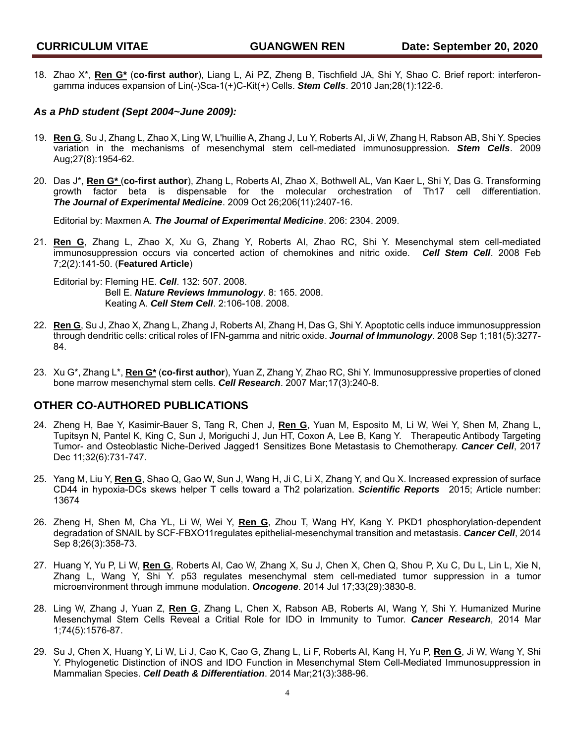18. Zhao X\*, **Ren G\*** (**co-first author**), Liang L, Ai PZ, Zheng B, Tischfield JA, Shi Y, Shao C. Brief report: interferongamma induces expansion of Lin(-)Sca-1(+)C-Kit(+) Cells. *Stem Cells*. 2010 Jan;28(1):122-6.

#### *As a PhD student (Sept 2004~June 2009):*

- 19. **Ren G**, Su J, Zhang L, Zhao X, Ling W, L'huillie A, Zhang J, Lu Y, Roberts AI, Ji W, Zhang H, Rabson AB, Shi Y. Species variation in the mechanisms of mesenchymal stem cell-mediated immunosuppression. *Stem Cells*. 2009 Aug;27(8):1954-62.
- 20. Das J\*, **Ren G\*** (**co-first author**), Zhang L, Roberts AI, Zhao X, Bothwell AL, Van Kaer L, Shi Y, Das G. Transforming growth factor beta is dispensable for the molecular orchestration of Th17 cell differentiation. *The Journal of Experimental Medicine*. 2009 Oct 26;206(11):2407-16.

Editorial by: Maxmen A. *The Journal of Experimental Medicine*. 206: 2304. 2009.

21. **Ren G**, Zhang L, Zhao X, Xu G, Zhang Y, Roberts AI, Zhao RC, Shi Y. Mesenchymal stem cell-mediated immunosuppression occurs via concerted action of chemokines and nitric oxide. *Cell Stem Cell*. 2008 Feb 7;2(2):141-50. (**Featured Article**)

Editorial by: Fleming HE. *Cell*. 132: 507. 2008. Bell E. *Nature Reviews Immunology*. 8: 165. 2008. Keating A. *Cell Stem Cell*. 2:106-108. 2008.

- 22. **Ren G**, Su J, Zhao X, Zhang L, Zhang J, Roberts AI, Zhang H, Das G, Shi Y. Apoptotic cells induce immunosuppression through dendritic cells: critical roles of IFN-gamma and nitric oxide. *Journal of Immunology*. 2008 Sep 1;181(5):3277- 84.
- 23. Xu G\*, Zhang L\*, **Ren G\*** (**co-first author**), Yuan Z, Zhang Y, Zhao RC, Shi Y. Immunosuppressive properties of cloned bone marrow mesenchymal stem cells. *Cell Research*. 2007 Mar;17(3):240-8.

### **OTHER CO-AUTHORED PUBLICATIONS**

- 24. Zheng H, Bae Y, Kasimir-Bauer S, Tang R, Chen J, **Ren G**, Yuan M, Esposito M, Li W, Wei Y, Shen M, Zhang L, Tupitsyn N, Pantel K, King C, Sun J, Moriguchi J, Jun HT, Coxon A, Lee B, Kang Y. Therapeutic Antibody Targeting Tumor- and Osteoblastic Niche-Derived Jagged1 Sensitizes Bone Metastasis to Chemotherapy. *Cancer Cell*, 2017 Dec 11;32(6):731-747.
- 25. Yang M, Liu Y, **Ren G**, Shao Q, Gao W, Sun J, Wang H, Ji C, Li X, Zhang Y, and Qu X. Increased expression of surface CD44 in hypoxia-DCs skews helper T cells toward a Th2 polarization. *Scientific Reports* 2015; Article number: 13674
- 26. Zheng H, Shen M, Cha YL, Li W, Wei Y, **Ren G**, Zhou T, Wang HY, Kang Y. PKD1 phosphorylation-dependent degradation of SNAIL by SCF-FBXO11regulates epithelial-mesenchymal transition and metastasis. *Cancer Cell*, 2014 Sep 8;26(3):358-73.
- 27. Huang Y, Yu P, Li W, **Ren G**, Roberts AI, Cao W, Zhang X, Su J, Chen X, Chen Q, Shou P, Xu C, Du L, Lin L, Xie N, Zhang L, Wang Y, Shi Y. p53 regulates mesenchymal stem cell-mediated tumor suppression in a tumor microenvironment through immune modulation. *Oncogene*. 2014 Jul 17;33(29):3830-8.
- 28. Ling W, Zhang J, Yuan Z, **Ren G**, Zhang L, Chen X, Rabson AB, Roberts AI, Wang Y, Shi Y. Humanized Murine Mesenchymal Stem Cells Reveal a Critial Role for IDO in Immunity to Tumor. *Cancer Research*, 2014 Mar 1;74(5):1576-87.
- 29. Su J, Chen X, Huang Y, Li W, Li J, Cao K, Cao G, Zhang L, Li F, Roberts AI, Kang H, Yu P, **Ren G**, Ji W, Wang Y, Shi Y. Phylogenetic Distinction of iNOS and IDO Function in Mesenchymal Stem Cell-Mediated Immunosuppression in Mammalian Species. *Cell Death & Differentiation*. 2014 Mar;21(3):388-96.